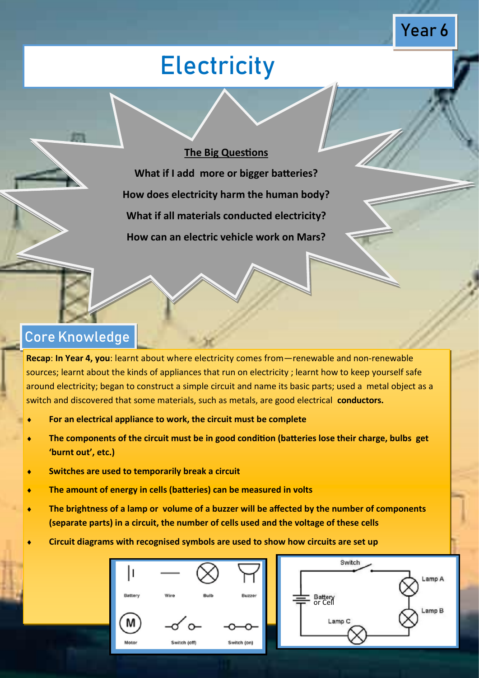# **Electricity**

Year 6

#### **The Big Questions**

**What if I add more or bigger batteries? How does electricity harm the human body? What if all materials conducted electricity? How can an electric vehicle work on Mars?**

### Core Knowledge

**Recap**: **In Year 4, you**: learnt about where electricity comes from—renewable and non-renewable sources; learnt about the kinds of appliances that run on electricity ; learnt how to keep yourself safe around electricity; began to construct a simple circuit and name its basic parts; used a metal object as a switch and discovered that some materials, such as metals, are good electrical **conductors.**

- **For an electrical appliance to work, the circuit must be complete**
- **The components of the circuit must be in good condition (batteries lose their charge, bulbs get 'burnt out', etc.)**
- **Switches are used to temporarily break a circuit**
- **The amount of energy in cells (batteries) can be measured in volts**
- **The brightness of a lamp or volume of a buzzer will be affected by the number of components (separate parts) in a circuit, the number of cells used and the voltage of these cells**
- **Circuit diagrams with recognised symbols are used to show how circuits are set up**